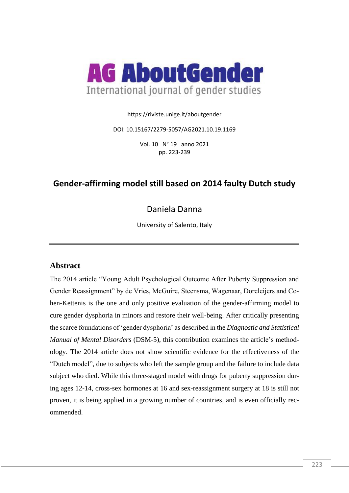

https://riviste.unige.it/aboutgender

DOI: 10.15167/2279-5057/AG2021.10.19.1169

Vol. 10 N° 19 anno 2021 pp. 223-239

# **Gender-affirming model still based on 2014 faulty Dutch study**

Daniela Danna

University of Salento, Italy

### **Abstract**

The 2014 article "Young Adult Psychological Outcome After Puberty Suppression and Gender Reassignment" by de Vries, McGuire, Steensma, Wagenaar, Doreleijers and Cohen-Kettenis is the one and only positive evaluation of the gender-affirming model to cure gender dysphoria in minors and restore their well-being. After critically presenting the scarce foundations of 'gender dysphoria' as described in the *Diagnostic and Statistical Manual of Mental Disorders* (DSM-5), this contribution examines the article's methodology. The 2014 article does not show scientific evidence for the effectiveness of the "Dutch model", due to subjects who left the sample group and the failure to include data subject who died. While this three-staged model with drugs for puberty suppression during ages 12-14, cross-sex hormones at 16 and sex-reassignment surgery at 18 is still not proven, it is being applied in a growing number of countries, and is even officially recommended.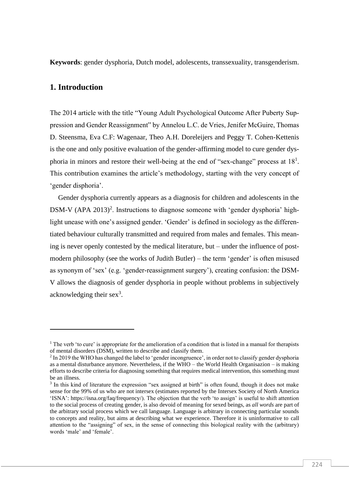**Keywords**: gender dysphoria, Dutch model, adolescents, transsexuality, transgenderism.

### **1. Introduction**

The 2014 article with the title "Young Adult Psychological Outcome After Puberty Suppression and Gender Reassignment" by Annelou L.C. de Vries, Jenifer McGuire, Thomas D. Steensma, Eva C.F: Wagenaar, Theo A.H. Doreleijers and Peggy T. Cohen-Kettenis is the one and only positive evaluation of the gender-affirming model to cure gender dysphoria in minors and restore their well-being at the end of "sex-change" process at  $18<sup>1</sup>$ . This contribution examines the article's methodology, starting with the very concept of 'gender disphoria'.

Gender dysphoria currently appears as a diagnosis for children and adolescents in the DSM-V (APA 2013)<sup>2</sup>. Instructions to diagnose someone with 'gender dysphoria' highlight unease with one's assigned gender. 'Gender' is defined in sociology as the differentiated behaviour culturally transmitted and required from males and females. This meaning is never openly contested by the medical literature, but – under the influence of postmodern philosophy (see the works of Judith Butler) – the term 'gender' is often misused as synonym of 'sex' (e.g. 'gender-reassignment surgery'), creating confusion: the DSM-V allows the diagnosis of gender dysphoria in people without problems in subjectively acknowledging their  $sex^3$ .

<sup>&</sup>lt;sup>1</sup> The verb 'to cure' is appropriate for the amelioration of a condition that is listed in a manual for therapists of mental disorders (DSM), written to describe and classify them.

<sup>&</sup>lt;sup>2</sup> In 2019 the WHO has changed the label to 'gender incongruence', in order not to classify gender dysphoria as a mental disturbance anymore. Nevertheless, if the WHO – the World Health Organisazion – is making efforts to describe criteria for diagnosing something that requires medical intervention, this something must be an illness.

<sup>&</sup>lt;sup>3</sup> In this kind of literature the expression "sex assigned at birth" is often found, though it does not make sense for the 99% of us who are not intersex (estimates reported by the Intersex Society of North America 'ISNA': [https://isna.org/faq/frequency/\)](https://isna.org/faq/frequency/). The objection that the verb 'to assign' is useful to shift attention to the social process of creating gender, is also devoid of meaning for sexed beings, as *all words* are part of the arbitrary social process which we call language. Language is arbitrary in connecting particular sounds to concepts and reality, but aims at describing what we experience. Therefore it is uninformative to call attention to the "assigning" of sex, in the sense of connecting this biological reality with the (arbitrary) words 'male' and 'female'.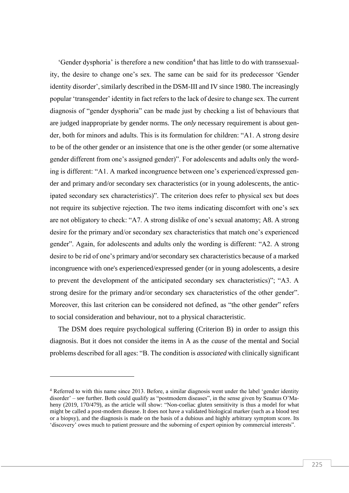'Gender dysphoria' is therefore a new condition<sup>4</sup> that has little to do with transsexuality, the desire to change one's sex. The same can be said for its predecessor 'Gender identity disorder', similarly described in the DSM-III and IV since 1980. The increasingly popular 'transgender' identity in fact refers to the lack of desire to change sex. The current diagnosis of "gender dysphoria" can be made just by checking a list of behaviours that are judged inappropriate by gender norms. The *only* necessary requirement is about gender, both for minors and adults. This is its formulation for children: "A1. A strong desire to be of the other gender or an insistence that one is the other gender (or some alternative gender different from one's assigned gender)". For adolescents and adults only the wording is different: "A1. A marked incongruence between one's experienced/expressed gender and primary and/or secondary sex characteristics (or in young adolescents, the anticipated secondary sex characteristics)". The criterion does refer to physical sex but does not require its subjective rejection. The two items indicating discomfort with one's sex are not obligatory to check: "A7. A strong dislike of one's sexual anatomy; A8. A strong desire for the primary and/or secondary sex characteristics that match one's experienced gender". Again, for adolescents and adults only the wording is different: "A2. A strong desire to be rid of one's primary and/or secondary sex characteristics because of a marked incongruence with one's experienced/expressed gender (or in young adolescents, a desire to prevent the development of the anticipated secondary sex characteristics)"; "A3. A strong desire for the primary and/or secondary sex characteristics of the other gender". Moreover, this last criterion can be considered not defined, as "the other gender" refers to social consideration and behaviour, not to a physical characteristic.

The DSM does require psychological suffering (Criterion B) in order to assign this diagnosis. But it does not consider the items in A as the *cause* of the mental and Social problems described for all ages: "B. The condition is *associated* with clinically significant

<sup>4</sup> Referred to with this name since 2013. Before, a similar diagnosis went under the label 'gender identity disorder' – see further. Both could qualify as "postmodern diseases", in the sense given by Seamus O'Maheny (2019, 170/479), as the article will show: "Non-coeliac gluten sensitivity is thus a model for what might be called a post-modern disease. It does not have a validated biological marker (such as a blood test or a biopsy), and the diagnosis is made on the basis of a dubious and highly arbitrary symptom score. Its 'discovery' owes much to patient pressure and the suborning of expert opinion by commercial interests".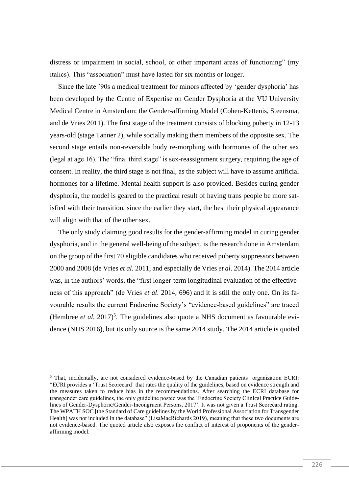distress or impairment in social, school, or other important areas of functioning" (my italics). This "association" must have lasted for six months or longer.

Since the late '90s a medical treatment for minors affected by 'gender dysphoria' has been developed by the Centre of Expertise on Gender Dysphoria at the VU University Medical Centre in Amsterdam: the Gender-affirming Model (Cohen-Kettenis, Steensma, and de Vries 2011). The first stage of the treatment consists of blocking puberty in 12-13 years-old (stage Tanner 2), while socially making them members of the opposite sex. The second stage entails non-reversible body re-morphing with hormones of the other sex (legal at age 16). The "final third stage" is sex-reassignment surgery, requiring the age of consent. In reality, the third stage is not final, as the subject will have to assume artificial hormones for a lifetime. Mental health support is also provided. Besides curing gender dysphoria, the model is geared to the practical result of having trans people be more satisfied with their transition, since the earlier they start, the best their physical appearance will align with that of the other sex.

The only study claiming good results for the gender-affirming model in curing gender dysphoria, and in the general well-being of the subject, is the research done in Amsterdam on the group of the first 70 eligible candidates who received puberty suppressors between 2000 and 2008 (de Vries *et al.* 2011, and especially de Vries *et al*. 2014). The 2014 article was, in the authors' words, the "first longer-term longitudinal evaluation of the effectiveness of this approach" (de Vries *et al*. 2014, 696) and it is still the only one. On its favourable results the current Endocrine Society's "evidence-based guidelines" are traced (Hembree *et al.* 2017)<sup>5</sup>. The guidelines also quote a NHS document as favourable evidence (NHS 2016), but its only source is the same 2014 study. The 2014 article is quoted

<sup>5</sup> That, incidentally, are not considered evidence-based by the Canadian patients' organization ECRI: "ECRI provides a 'Trust Scorecard' that rates the quality of the guidelines, based on evidence strength and the measures taken to reduce bias in the recommendations. After searching the ECRI database for transgender care guidelines, the only guideline posted was the 'Endocrine Society Clinical Practice Guidelines of Gender-Dysphoric/Gender-Incongruent Persons, 2017'. It was not given a Trust Scorecard rating. The WPATH SOC [the Standard of Care guidelines by the World Professional Association for Transgender Health] was not included in the database" (LisaMacRichards 2019), meaning that these two documents are not evidence-based. The quoted article also exposes the conflict of interest of proponents of the genderaffirming model.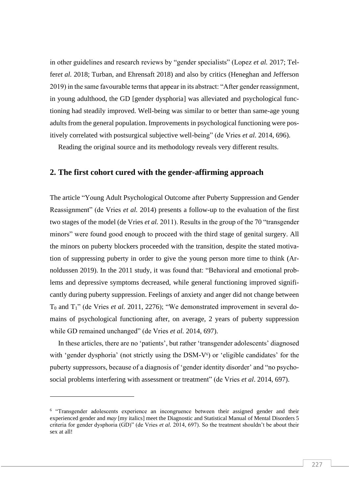in other guidelines and research reviews by "gender specialists" (Lopez *et al.* 2017; Telfer*et al.* 2018; Turban, and Ehrensaft 2018) and also by critics (Heneghan and Jefferson 2019) in the same favourable terms that appear in its abstract: "After gender reassignment, in young adulthood, the GD [gender dysphoria] was alleviated and psychological functioning had steadily improved. Well-being was similar to or better than same-age young adults from the general population. Improvements in psychological functioning were positively correlated with postsurgical subjective well-being" (de Vries *et al.* 2014, 696).

Reading the original source and its methodology reveals very different results.

#### **2. The first cohort cured with the gender-affirming approach**

The article "Young Adult Psychological Outcome after Puberty Suppression and Gender Reassignment" (de Vries *et al.* 2014) presents a follow-up to the evaluation of the first two stages of the model (de Vries *et al.* 2011). Results in the group of the 70 "transgender minors" were found good enough to proceed with the third stage of genital surgery. All the minors on puberty blockers proceeded with the transition, despite the stated motivation of suppressing puberty in order to give the young person more time to think (Arnoldussen 2019). In the 2011 study, it was found that: "Behavioral and emotional problems and depressive symptoms decreased, while general functioning improved significantly during puberty suppression. Feelings of anxiety and anger did not change between T<sub>0</sub> and T<sub>1</sub>" (de Vries *et al.* 2011, 2276); "We demonstrated improvement in several domains of psychological functioning after, on average, 2 years of puberty suppression while GD remained unchanged" (de Vries *et al.* 2014, 697).

In these articles, there are no 'patients', but rather 'transgender adolescents' diagnosed with 'gender dysphoria' (not strictly using the  $DSM-V<sup>6</sup>$ ) or 'eligible candidates' for the puberty suppressors, because of a diagnosis of 'gender identity disorder' and "no psychosocial problems interfering with assessment or treatment" (de Vries *et al*. 2014, 697).

<sup>&</sup>lt;sup>6</sup> "Transgender adolescents experience an incongruence between their assigned gender and their experienced gender and *may* [my italics] meet the Diagnostic and Statistical Manual of Mental Disorders 5 criteria for gender dysphoria (GD)" (de Vries *et al.* 2014, 697). So the treatment shouldn't be about their sex at all!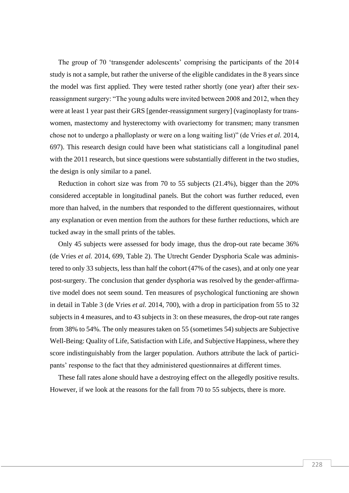The group of 70 'transgender adolescents' comprising the participants of the 2014 study is not a sample, but rather the universe of the eligible candidates in the 8 years since the model was first applied. They were tested rather shortly (one year) after their sexreassignment surgery: "The young adults were invited between 2008 and 2012, when they were at least 1 year past their GRS [gender-reassignment surgery] (vaginoplasty for transwomen, mastectomy and hysterectomy with ovariectomy for transmen; many transmen chose not to undergo a phalloplasty or were on a long waiting list)" (de Vries *et al.* 2014, 697). This research design could have been what statisticians call a longitudinal panel with the 2011 research, but since questions were substantially different in the two studies, the design is only similar to a panel.

Reduction in cohort size was from 70 to 55 subjects (21.4%), bigger than the 20% considered acceptable in longitudinal panels. But the cohort was further reduced, even more than halved, in the numbers that responded to the different questionnaires, without any explanation or even mention from the authors for these further reductions, which are tucked away in the small prints of the tables.

Only 45 subjects were assessed for body image, thus the drop-out rate became 36% (de Vries *et al.* 2014, 699, Table 2). The Utrecht Gender Dysphoria Scale was administered to only 33 subjects, less than half the cohort (47% of the cases), and at only one year post-surgery. The conclusion that gender dysphoria was resolved by the gender-affirmative model does not seem sound. Ten measures of psychological functioning are shown in detail in Table 3 (de Vries *et al.* 2014, 700), with a drop in participation from 55 to 32 subjects in 4 measures, and to 43 subjects in 3: on these measures, the drop-out rate ranges from 38% to 54%. The only measures taken on 55 (sometimes 54) subjects are Subjective Well-Being: Quality of Life, Satisfaction with Life, and Subjective Happiness, where they score indistinguishably from the larger population. Authors attribute the lack of participants' response to the fact that they administered questionnaires at different times.

These fall rates alone should have a destroying effect on the allegedly positive results. However, if we look at the reasons for the fall from 70 to 55 subjects, there is more.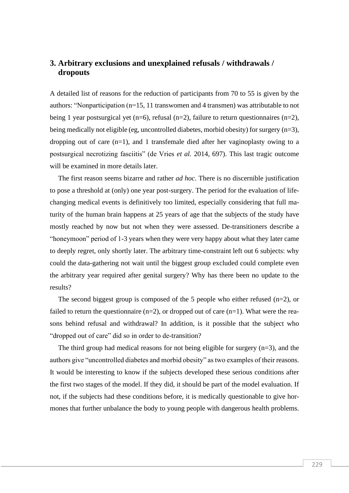## **3. Arbitrary exclusions and unexplained refusals / withdrawals / dropouts**

A detailed list of reasons for the reduction of participants from 70 to 55 is given by the authors: "Nonparticipation (n=15, 11 transwomen and 4 transmen) was attributable to not being 1 year postsurgical yet (n=6), refusal (n=2), failure to return questionnaires (n=2), being medically not eligible (eg, uncontrolled diabetes, morbid obesity) for surgery (n=3), dropping out of care  $(n=1)$ , and 1 transfemale died after her vaginoplasty owing to a postsurgical necrotizing fasciitis" (de Vries *et al.* 2014, 697). This last tragic outcome will be examined in more details later.

The first reason seems bizarre and rather *ad hoc*. There is no discernible justification to pose a threshold at (only) one year post-surgery. The period for the evaluation of lifechanging medical events is definitively too limited, especially considering that full maturity of the human brain happens at 25 years of age that the subjects of the study have mostly reached by now but not when they were assessed. De-transitioners describe a "honeymoon" period of 1-3 years when they were very happy about what they later came to deeply regret, only shortly later. The arbitrary time-constraint left out 6 subjects: why could the data-gathering not wait until the biggest group excluded could complete even the arbitrary year required after genital surgery? Why has there been no update to the results?

The second biggest group is composed of the 5 people who either refused  $(n=2)$ , or failed to return the questionnaire ( $n=2$ ), or dropped out of care ( $n=1$ ). What were the reasons behind refusal and withdrawal? In addition, is it possible that the subject who "dropped out of care" did so in order to de-transition?

The third group had medical reasons for not being eligible for surgery (n=3), and the authors give "uncontrolled diabetes and morbid obesity" as two examples of their reasons. It would be interesting to know if the subjects developed these serious conditions after the first two stages of the model. If they did, it should be part of the model evaluation. If not, if the subjects had these conditions before, it is medically questionable to give hormones that further unbalance the body to young people with dangerous health problems.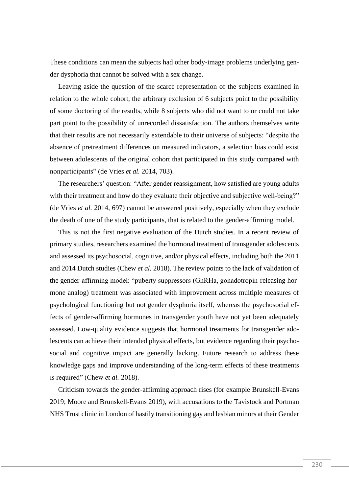These conditions can mean the subjects had other body-image problems underlying gender dysphoria that cannot be solved with a sex change.

Leaving aside the question of the scarce representation of the subjects examined in relation to the whole cohort, the arbitrary exclusion of 6 subjects point to the possibility of some doctoring of the results, while 8 subjects who did not want to or could not take part point to the possibility of unrecorded dissatisfaction. The authors themselves write that their results are not necessarily extendable to their universe of subjects: "despite the absence of pretreatment differences on measured indicators, a selection bias could exist between adolescents of the original cohort that participated in this study compared with nonparticipants" (de Vries *et al.* 2014, 703).

The researchers' question: "After gender reassignment, how satisfied are young adults with their treatment and how do they evaluate their objective and subjective well-being?" (de Vries *et al.* 2014, 697) cannot be answered positively, especially when they exclude the death of one of the study participants, that is related to the gender-affirming model.

This is not the first negative evaluation of the Dutch studies. In a recent review of primary studies, researchers examined the hormonal treatment of transgender adolescents and assessed its psychosocial, cognitive, and/or physical effects, including both the 2011 and 2014 Dutch studies (Chew *et al.* 2018). The review points to the lack of validation of the gender-affirming model: "puberty suppressors (GnRHa, gonadotropin-releasing hormone analog) treatment was associated with improvement across multiple measures of psychological functioning but not gender dysphoria itself, whereas the psychosocial effects of gender-affirming hormones in transgender youth have not yet been adequately assessed. Low-quality evidence suggests that hormonal treatments for transgender adolescents can achieve their intended physical effects, but evidence regarding their psychosocial and cognitive impact are generally lacking. Future research to address these knowledge gaps and improve understanding of the long-term effects of these treatments is required" (Chew *et al.* 2018).

Criticism towards the gender-affirming approach rises (for example Brunskell-Evans 2019; Moore and Brunskell-Evans 2019), with accusations to the Tavistock and Portman NHS Trust clinic in London of hastily transitioning gay and lesbian minors at their Gender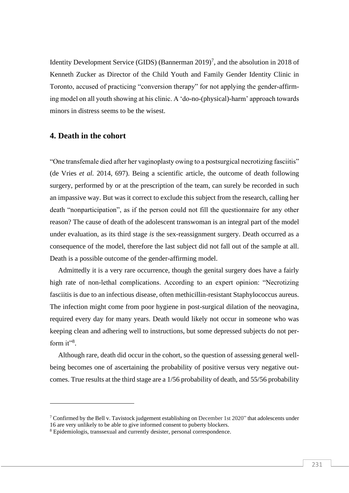Identity Development Service (GIDS) (Bannerman  $2019$ <sup>7</sup>, and the absolution in 2018 of Kenneth Zucker as Director of the Child Youth and Family Gender Identity Clinic in Toronto, accused of practicing "conversion therapy" for not applying the gender-affirming model on all youth showing at his clinic. A 'do-no-(physical)-harm' approach towards minors in distress seems to be the wisest.

### **4. Death in the cohort**

"One transfemale died after her vaginoplasty owing to a postsurgical necrotizing fasciitis" (de Vries *et al.* 2014, 697). Being a scientific article, the outcome of death following surgery, performed by or at the prescription of the team, can surely be recorded in such an impassive way. But was it correct to exclude this subject from the research, calling her death "nonparticipation", as if the person could not fill the questionnaire for any other reason? The cause of death of the adolescent transwoman is an integral part of the model under evaluation, as its third stage *is* the sex-reassignment surgery. Death occurred as a consequence of the model, therefore the last subject did not fall out of the sample at all. Death is a possible outcome of the gender-affirming model.

Admittedly it is a very rare occurrence, though the genital surgery does have a fairly high rate of non-lethal complications. According to an expert opinion: "Necrotizing fasciitis is due to an infectious disease, often methicillin-resistant Staphylococcus aureus. The infection might come from poor hygiene in post-surgical dilation of the neovagina, required every day for many years. Death would likely not occur in someone who was keeping clean and adhering well to instructions, but some depressed subjects do not perform  $it^{\prime\prime}$ <sup>8</sup>.

Although rare, death did occur in the cohort, so the question of assessing general wellbeing becomes one of ascertaining the probability of positive versus very negative outcomes. True results at the third stage are a 1/56 probability of death, and 55/56 probability

<sup>&</sup>lt;sup>7</sup> Confirmed by the Bell v. Tavistock judgement establishing on December 1st 2020" that adolescents under 16 are very unlikely to be able to give informed consent to puberty blockers.

<sup>8</sup> Epidemiologis, transsexual and currently desister, personal correspondence.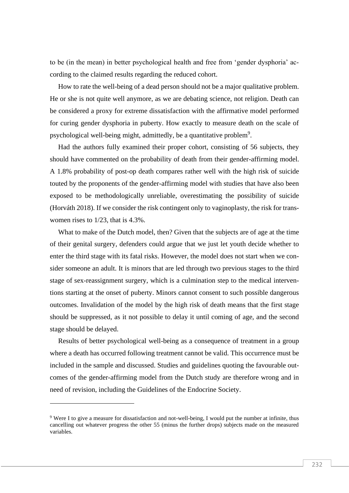to be (in the mean) in better psychological health and free from 'gender dysphoria' according to the claimed results regarding the reduced cohort.

How to rate the well-being of a dead person should not be a major qualitative problem. He or she is not quite well anymore, as we are debating science, not religion. Death can be considered a proxy for extreme dissatisfaction with the affirmative model performed for curing gender dysphoria in puberty. How exactly to measure death on the scale of psychological well-being might, admittedly, be a quantitative problem<sup>9</sup>.

Had the authors fully examined their proper cohort, consisting of 56 subjects, they should have commented on the probability of death from their gender-affirming model. A 1.8% probability of post-op death compares rather well with the high risk of suicide touted by the proponents of the gender-affirming model with studies that have also been exposed to be methodologically unreliable, overestimating the possibility of suicide (Horváth 2018). If we consider the risk contingent only to vaginoplasty, the risk for transwomen rises to 1/23, that is 4.3%.

What to make of the Dutch model, then? Given that the subjects are of age at the time of their genital surgery, defenders could argue that we just let youth decide whether to enter the third stage with its fatal risks. However, the model does not start when we consider someone an adult. It is minors that are led through two previous stages to the third stage of sex-reassignment surgery, which is a culmination step to the medical interventions starting at the onset of puberty. Minors cannot consent to such possible dangerous outcomes. Invalidation of the model by the high risk of death means that the first stage should be suppressed, as it not possible to delay it until coming of age, and the second stage should be delayed.

Results of better psychological well-being as a consequence of treatment in a group where a death has occurred following treatment cannot be valid. This occurrence must be included in the sample and discussed. Studies and guidelines quoting the favourable outcomes of the gender-affirming model from the Dutch study are therefore wrong and in need of revision, including the Guidelines of the Endocrine Society.

<sup>9</sup> Were I to give a measure for dissatisfaction and not-well-being, I would put the number at infinite, thus cancelling out whatever progress the other 55 (minus the further drops) subjects made on the measured variables.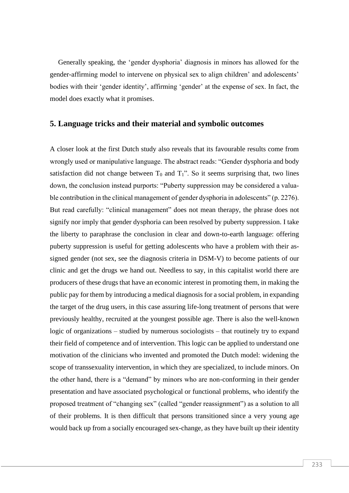Generally speaking, the 'gender dysphoria' diagnosis in minors has allowed for the gender-affirming model to intervene on physical sex to align children' and adolescents' bodies with their 'gender identity', affirming 'gender' at the expense of sex. In fact, the model does exactly what it promises.

#### **5. Language tricks and their material and symbolic outcomes**

A closer look at the first Dutch study also reveals that its favourable results come from wrongly used or manipulative language. The abstract reads: "Gender dysphoria and body satisfaction did not change between  $T_0$  and  $T_1$ ". So it seems surprising that, two lines down, the conclusion instead purports: "Puberty suppression may be considered a valuable contribution in the clinical management of gender dysphoria in adolescents" (p. 2276). But read carefully: "clinical management" does not mean therapy, the phrase does not signify nor imply that gender dysphoria can been resolved by puberty suppression. I take the liberty to paraphrase the conclusion in clear and down-to-earth language: offering puberty suppression is useful for getting adolescents who have a problem with their assigned gender (not sex, see the diagnosis criteria in DSM-V) to become patients of our clinic and get the drugs we hand out. Needless to say, in this capitalist world there are producers of these drugs that have an economic interest in promoting them, in making the public pay for them by introducing a medical diagnosis for a social problem, in expanding the target of the drug users, in this case assuring life-long treatment of persons that were previously healthy, recruited at the youngest possible age. There is also the well-known logic of organizations – studied by numerous sociologists – that routinely try to expand their field of competence and of intervention. This logic can be applied to understand one motivation of the clinicians who invented and promoted the Dutch model: widening the scope of transsexuality intervention, in which they are specialized, to include minors. On the other hand, there is a "demand" by minors who are non-conforming in their gender presentation and have associated psychological or functional problems, who identify the proposed treatment of "changing sex" (called "gender reassignment") as a solution to all of their problems. It is then difficult that persons transitioned since a very young age would back up from a socially encouraged sex-change, as they have built up their identity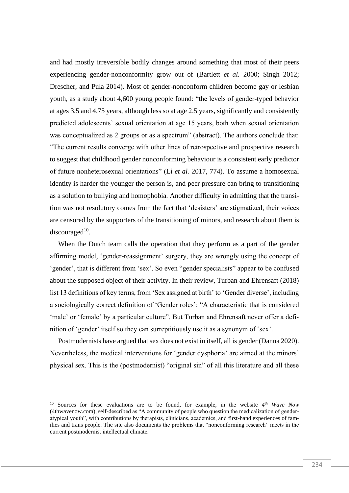and had mostly irreversible bodily changes around something that most of their peers experiencing gender-nonconformity grow out of (Bartlett *et al.* 2000; Singh 2012; Drescher, and Pula 2014). Most of gender-nonconform children become gay or lesbian youth, as a study about 4,600 young people found: "the levels of gender-typed behavior at ages 3.5 and 4.75 years, although less so at age 2.5 years, significantly and consistently predicted adolescents' sexual orientation at age 15 years, both when sexual orientation was conceptualized as 2 groups or as a spectrum" (abstract). The authors conclude that: "The current results converge with other lines of retrospective and prospective research to suggest that childhood gender nonconforming behaviour is a consistent early predictor of future nonheterosexual orientations" (Li *et al.* 2017, 774). To assume a homosexual identity is harder the younger the person is, and peer pressure can bring to transitioning as a solution to bullying and homophobia. Another difficulty in admitting that the transition was not resolutory comes from the fact that 'desisters' are stigmatized, their voices are censored by the supporters of the transitioning of minors, and research about them is discouraged $10$ .

When the Dutch team calls the operation that they perform as a part of the gender affirming model, 'gender-reassignment' surgery, they are wrongly using the concept of 'gender', that is different from 'sex'. So even "gender specialists" appear to be confused about the supposed object of their activity. In their review, Turban and Ehrensaft (2018) list 13 definitions of key terms, from 'Sex assigned at birth' to 'Gender diverse', including a sociologically correct definition of 'Gender roles': "A characteristic that is considered 'male' or 'female' by a particular culture". But Turban and Ehrensaft never offer a definition of 'gender' itself so they can surreptitiously use it as a synonym of 'sex'.

Postmodernists have argued that sex does not exist in itself, all is gender (Danna 2020). Nevertheless, the medical interventions for 'gender dysphoria' are aimed at the minors' physical sex. This is the (postmodernist) "original sin" of all this literature and all these

<sup>&</sup>lt;sup>10</sup> Sources for these evaluations are to be found, for example, in the website  $4<sup>th</sup>$  *Wave Now* (4thwavenow.com), self-described as "A community of people who question the medicalization of genderatypical youth", with contributions by therapists, clinicians, academics, and first-hand experiences of families and trans people. The site also documents the problems that "nonconforming research" meets in the current postmodernist intellectual climate.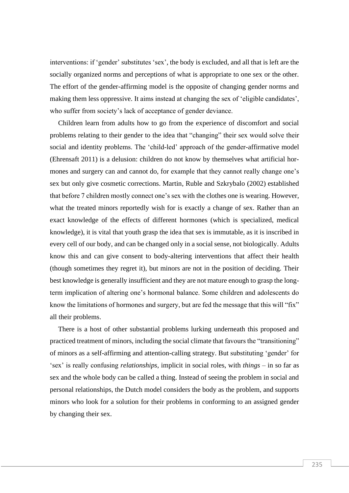interventions: if 'gender' substitutes 'sex', the body is excluded, and all that is left are the socially organized norms and perceptions of what is appropriate to one sex or the other. The effort of the gender-affirming model is the opposite of changing gender norms and making them less oppressive. It aims instead at changing the sex of 'eligible candidates', who suffer from society's lack of acceptance of gender deviance.

Children learn from adults how to go from the experience of discomfort and social problems relating to their gender to the idea that "changing" their sex would solve their social and identity problems. The 'child-led' approach of the gender-affirmative model (Ehrensaft 2011) is a delusion: children do not know by themselves what artificial hormones and surgery can and cannot do, for example that they cannot really change one's sex but only give cosmetic corrections. Martin, Ruble and Szkrybalo (2002) established that before 7 children mostly connect one's sex with the clothes one is wearing. However, what the treated minors reportedly wish for is exactly a change of sex. Rather than an exact knowledge of the effects of different hormones (which is specialized, medical knowledge), it is vital that youth grasp the idea that sex is immutable, as it is inscribed in every cell of our body, and can be changed only in a social sense, not biologically. Adults know this and can give consent to body-altering interventions that affect their health (though sometimes they regret it), but minors are not in the position of deciding. Their best knowledge is generally insufficient and they are not mature enough to grasp the longterm implication of altering one's hormonal balance. Some children and adolescents do know the limitations of hormones and surgery, but are fed the message that this will "fix" all their problems.

There is a host of other substantial problems lurking underneath this proposed and practiced treatment of minors, including the social climate that favours the "transitioning" of minors as a self-affirming and attention-calling strategy. But substituting 'gender' for 'sex' is really confusing *relationships*, implicit in social roles, with *things* – in so far as sex and the whole body can be called a thing. Instead of seeing the problem in social and personal relationships, the Dutch model considers the body as the problem, and supports minors who look for a solution for their problems in conforming to an assigned gender by changing their sex.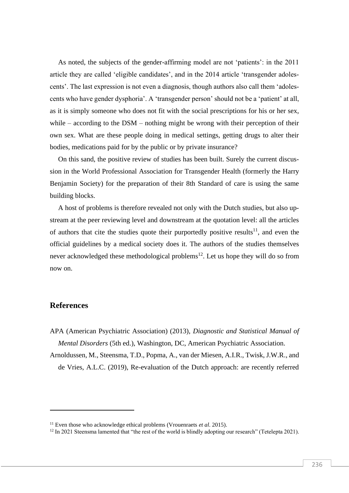As noted, the subjects of the gender-affirming model are not 'patients': in the 2011 article they are called 'eligible candidates', and in the 2014 article 'transgender adolescents'. The last expression is not even a diagnosis, though authors also call them 'adolescents who have gender dysphoria'. A 'transgender person' should not be a 'patient' at all, as it is simply someone who does not fit with the social prescriptions for his or her sex, while – according to the DSM – nothing might be wrong with their perception of their own sex. What are these people doing in medical settings, getting drugs to alter their bodies, medications paid for by the public or by private insurance?

On this sand, the positive review of studies has been built. Surely the current discussion in the World Professional Association for Transgender Health (formerly the Harry Benjamin Society) for the preparation of their 8th Standard of care is using the same building blocks.

A host of problems is therefore revealed not only with the Dutch studies, but also upstream at the peer reviewing level and downstream at the quotation level: all the articles of authors that cite the studies quote their purportedly positive results<sup>11</sup>, and even the official guidelines by a medical society does it. The authors of the studies themselves never acknowledged these methodological problems<sup>12</sup>. Let us hope they will do so from now on.

### **References**

APA (American Psychiatric Association) (2013), *Diagnostic and Statistical Manual of Mental Disorders* (5th ed.), Washington, DC, American Psychiatric Association.

Arnoldussen, M., Steensma, T.D., Popma, A., van der Miesen, A.I.R., Twisk, J.W.R., and de Vries, A.L.C. (2019), Re-evaluation of the Dutch approach: are recently referred

<sup>11</sup> Even those who acknowledge ethical problems (Vrouenraets *et al*. 2015).

<sup>&</sup>lt;sup>12</sup> In 2021 Steensma lamented that "the rest of the world is blindly adopting our research" (Tetelepta 2021).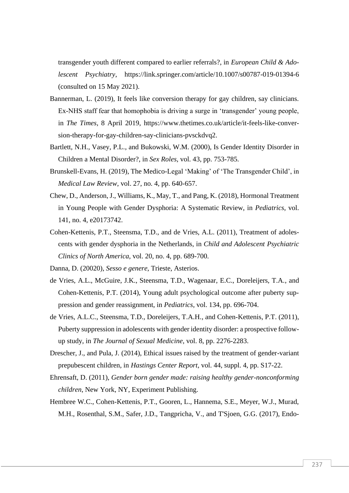transgender youth different compared to earlier referrals?, in *European Child & Adolescent Psychiatry*, <https://link.springer.com/article/10.1007/s00787-019-01394-6> (consulted on 15 May 2021).

- Bannerman, L. (2019), It feels like conversion therapy for gay children, say clinicians. Ex-NHS staff fear that homophobia is driving a surge in 'transgender' young people, in *The Times*, 8 April 2019, [https://www.thetimes.co.uk/article/it-feels-like-conver](https://www.thetimes.co.uk/article/it-feels-like-conversion-therapy-for-gay-children-say-clinicians-pvsckdvq2)[sion-therapy-for-gay-children-say-clinicians-pvsckdvq2.](https://www.thetimes.co.uk/article/it-feels-like-conversion-therapy-for-gay-children-say-clinicians-pvsckdvq2)
- Bartlett, N.H., Vasey, P.L., and Bukowski, W.M. (2000), Is Gender Identity Disorder in Children a Mental Disorder?, in *Sex Roles*, vol. 43, pp. 753-785.
- Brunskell-Evans, H. (2019), The Medico-Legal 'Making' of 'The Transgender Child', in *Medical Law Review*, vol. 27, no. 4, pp. 640-657.
- Chew, D., Anderson, J., Williams, K., May, T., and Pang, K. (2018), Hormonal Treatment in Young People with Gender Dysphoria: A Systematic Review, in *Pediatrics*, vol. 141, no. 4, e20173742.
- Cohen-Kettenis, P.T., Steensma, T.D., and de Vries, A.L. (2011), Treatment of adolescents with gender dysphoria in the Netherlands, in *Child and Adolescent Psychiatric Clinics of North America*, vol. 20, no. 4, pp. 689-700.
- Danna, D. (20020), *Sesso e genere*, Trieste, Asterios.
- de Vries, A.L., McGuire, J.K., Steensma, T.D., Wagenaar, E.C., Doreleijers, T.A., and Cohen-Kettenis, P.T. (2014), Young adult psychological outcome after puberty suppression and gender reassignment, in *Pediatrics*, vol. 134, pp. 696-704.
- de Vries, A.L.C., Steensma, T.D., Doreleijers, T.A.H., and Cohen-Kettenis, P.T. (2011), Puberty suppression in adolescents with gender identity disorder: a prospective followup study, in *The Journal of Sexual Medicine*, vol. 8, pp. 2276-2283.
- Drescher, J., and Pula, J. (2014), Ethical issues raised by the treatment of gender-variant prepubescent children, in *Hastings Center Report*, vol. 44, suppl. 4, pp. S17-22.
- Ehrensaft, D. (2011), *Gender born gender made: raising healthy gender-nonconforming children*, New York, NY, Experiment Publishing.
- Hembree W.C., Cohen-Kettenis, P.T., Gooren, L., Hannema, S.E., Meyer, W.J., Murad, M.H., Rosenthal, S.M., Safer, J.D., Tangpricha, V., and T'Sjoen, G.G. (2017), Endo-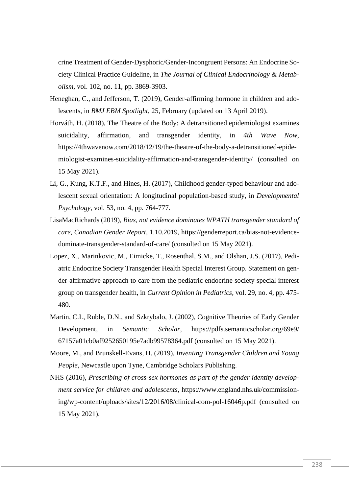crine Treatment of Gender-Dysphoric/Gender-Incongruent Persons: An Endocrine Society Clinical Practice Guideline, in *The Journal of Clinical Endocrinology & Metabolism*, vol. 102, no. 11, pp. 3869-3903.

- Heneghan, C., and Jefferson, T. (2019), Gender-affirming hormone in children and adolescents, in *BMJ EBM Spotlight*, 25, February (updated on 13 April 2019).
- Horváth, H. (2018), The Theatre of the Body: A detransitioned epidemiologist examines suicidality, affirmation, and transgender identity, in *4th Wave Now*, [https://4thwavenow.com/2018/12/19/the-theatre-of-the-body-a-detransitioned-epide](https://4thwavenow.com/2018/12/19/the-theatre-of-the-body-a-detransitioned-epidemiologist-examines-suicidality-affirmation-and-transgender-identity/)[miologist-examines-suicidality-affirmation-and-transgender-identity/](https://4thwavenow.com/2018/12/19/the-theatre-of-the-body-a-detransitioned-epidemiologist-examines-suicidality-affirmation-and-transgender-identity/) (consulted on 15 May 2021).
- Li, G., Kung, K.T.F., and Hines, H. (2017), Childhood gender-typed behaviour and adolescent sexual orientation: A longitudinal population-based study, in *Developmental Psychology*, vol. 53, no. 4, pp. 764-777.
- LisaMacRichards (2019), *Bias, not evidence dominates WPATH transgender standard of care, Canadian Gender Report*, 1.10.2019, [https://genderreport.ca/bias-not-evidence](https://genderreport.ca/bias-not-evidence-dominate-transgender-standard-of-care/)[dominate-transgender-standard-of-care/](https://genderreport.ca/bias-not-evidence-dominate-transgender-standard-of-care/) (consulted on 15 May 2021).
- Lopez, X., Marinkovic, M., Eimicke, T., Rosenthal, S.M., and Olshan, J.S. (2017), Pediatric Endocrine Society Transgender Health Special Interest Group. Statement on gender-affirmative approach to care from the pediatric endocrine society special interest group on transgender health, in *Current Opinion in Pediatrics*, vol. 29, no. 4, pp. 475- 480.
- Martin, C.L, Ruble, D.N., and Szkrybalo, J. (2002), Cognitive Theories of Early Gender Development, in *Semantic Scholar*, https://pdfs.semanticscholar.org/69e9/ 67157a01cb0af9252650195e7adb99578364.pdf (consulted on 15 May 2021).
- Moore, M., and Brunskell-Evans, H. (2019), *Inventing Transgender Children and Young People*, Newcastle upon Tyne, Cambridge Scholars Publishing.
- NHS (2016), *Prescribing of cross-sex hormones as part of the gender identity development service for children and adolescents*, [https://www.england.nhs.uk/commission](https://www.england.nhs.uk/commissioning/wp-content/uploads/sites/12/2016/08/clinical-com-pol-16046p.pdf)[ing/wp-content/uploads/sites/12/2016/08/clinical-com-pol-16046p.pdf](https://www.england.nhs.uk/commissioning/wp-content/uploads/sites/12/2016/08/clinical-com-pol-16046p.pdf) (consulted on 15 May 2021).